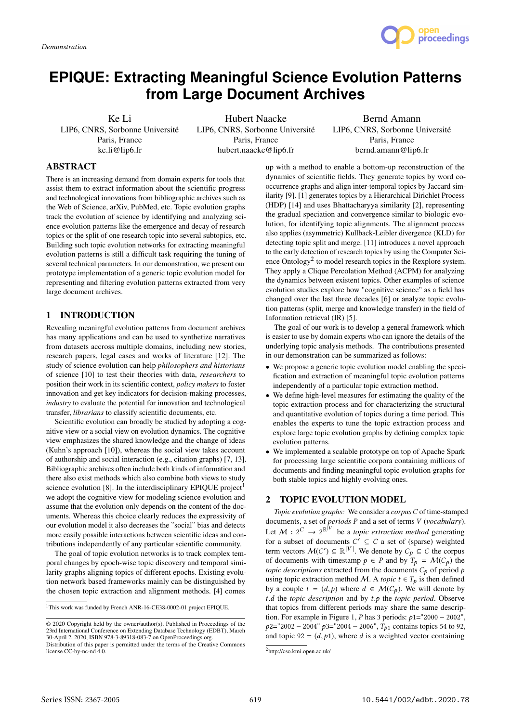

# **EPIQUE: Extracting Meaningful Science Evolution Patterns from Large Document Archives**

Ke Li LIP6, CNRS, Sorbonne Université Paris, France ke.li@lip6.fr

Hubert Naacke LIP6, CNRS, Sorbonne Université Paris, France hubert.naacke@lip6.fr

Bernd Amann LIP6, CNRS, Sorbonne Université Paris, France bernd.amann@lip6.fr

# ABSTRACT

There is an increasing demand from domain experts for tools that assist them to extract information about the scientific progress and technological innovations from bibliographic archives such as the Web of Science, arXiv, PubMed, etc. Topic evolution graphs track the evolution of science by identifying and analyzing science evolution patterns like the emergence and decay of research topics or the split of one research topic into several subtopics, etc. Building such topic evolution networks for extracting meaningful evolution patterns is still a difficult task requiring the tuning of several technical parameters. In our demonstration, we present our prototype implementation of a generic topic evolution model for representing and filtering evolution patterns extracted from very large document archives.

# 1 INTRODUCTION

Revealing meaningful evolution patterns from document archives has many applications and can be used to synthetize narratives from datasets accross multiple domains, including new stories, research papers, legal cases and works of literature [12]. The study of science evolution can help *philosophers and historians* of science [10] to test their theories with data, *researchers* to position their work in its scientific context, *policy makers* to foster innovation and get key indicators for decision-making processes, *industry* to evaluate the potential for innovation and technological transfer, *librarians* to classify scientific documents, etc.

Scientific evolution can broadly be studied by adopting a cognitive view or a social view on evolution dynamics. The cognitive view emphasizes the shared knowledge and the change of ideas (Kuhn's approach [10]), whereas the social view takes account of authorship and social interaction (e.g., citation graphs) [7, 13]. Bibliographic archives often include both kinds of information and there also exist methods which also combine both views to study science evolution [8]. In the interdisciplinary EPIQUE project<sup>1</sup> we adopt the cognitive view for modeling science evolution and assume that the evolution only depends on the content of the documents. Whereas this choice clearly reduces the expressivity of our evolution model it also decreases the "social" bias and detects more easily possible interactions between scientific ideas and contributions independently of any particular scientific community.

The goal of topic evolution networks is to track complex temporal changes by epoch-wise topic discovery and temporal similarity graphs aligning topics of different epochs. Existing evolution network based frameworks mainly can be distinguished by the chosen topic extraction and alignment methods. [4] comes

up with a method to enable a bottom-up reconstruction of the dynamics of scientific fields. They generate topics by word cooccurrence graphs and align inter-temporal topics by Jaccard similarity [9]. [1] generates topics by a Hierarchical Dirichlet Process (HDP) [14] and uses Bhattacharyya similarity [2], representing the gradual speciation and convergence similar to biologic evolution, for identifying topic alignments. The alignment process also applies (asymmetric) Kullback-Leibler divergence (KLD) for detecting topic split and merge. [11] introduces a novel approach to the early detection of research topics by using the Computer Science Ontology<sup>2</sup> to model research topics in the Rexplore system. They apply a Clique Percolation Method (ACPM) for analyzing the dynamics between existent topics. Other examples of science evolution studies explore how "cognitive science" as a field has changed over the last three decades [6] or analyze topic evolution patterns (split, merge and knowledge transfer) in the field of Information retrieval (IR) [5].

The goal of our work is to develop a general framework which is easier to use by domain experts who can ignore the details of the underlying topic analysis methods. The contributions presented in our demonstration can be summarized as follows:

- We propose a generic topic evolution model enabling the specification and extraction of meaningful topic evolution patterns independently of a particular topic extraction method.
- We define high-level measures for estimating the quality of the topic extraction process and for characterizing the structural and quantitative evolution of topics during a time period. This enables the experts to tune the topic extraction process and explore large topic evolution graphs by defining complex topic evolution patterns.
- We implemented a scalable prototype on top of Apache Spark for processing large scientific corpora containing millions of documents and finding meaningful topic evolution graphs for both stable topics and highly evolving ones.

### 2 TOPIC EVOLUTION MODEL

*Topic evolution graphs:* We consider a *corpus* C of time-stamped documents, a set of *periods* P and a set of terms V (*vocabulary*). Let  $M: 2^C \rightarrow 2^{\mathbb{R}^{|V|}}$  be a *topic extraction method* generating for a subset of documents C<br>term vectors  $M(C') \subset \mathbb{R}^{|V|}$ for a subset of documents  $C' \subseteq C$  a set of (sparse) weighted term vectors  $M(C') \subseteq \mathbb{R}^{|V|}$ . We denote by  $C_p \subseteq C$  the corpus<br>of documents with timestamp  $\rho \in P$  and by  $T_a = M(C_a)$  the of documents with timestamp  $p \in P$  and by  $T_p = \mathcal{M}(C_p)$  the *topic descriptions* extracted from the documents  $C_p$  of period p using topic extraction method M. A *topic*  $t \in T_p$  is then defined by a couple  $t = (d, p)$  where  $d \in M(C_p)$ . We will denote by t.d the *topic description* and by t.p the *topic period*. Observe that topics from different periods may share the same description. For example in Figure 1, P has 3 periods:  $p1 = "2000 - 2002",$  $p2=$ "2002 – 2004"  $p3=$ "2004 – 2006",  $T_{p1}$  contains topics 54 to 92, and topic 92 =  $(d, p1)$ , where d is a weighted vector containing

<sup>&</sup>lt;sup>1</sup>This work was funded by French ANR-16-CE38-0002-01 project EPIQUE.

<sup>©</sup> 2020 Copyright held by the owner/author(s). Published in Proceedings of the 23rd International Conference on Extending Database Technology (EDBT), March 30-April 2, 2020, ISBN 978-3-89318-083-7 on OpenProceedings.org.

Distribution of this paper is permitted under the terms of the Creative Commons license CC-by-nc-nd 4.0.

<sup>2</sup> http://cso.kmi.open.ac.uk/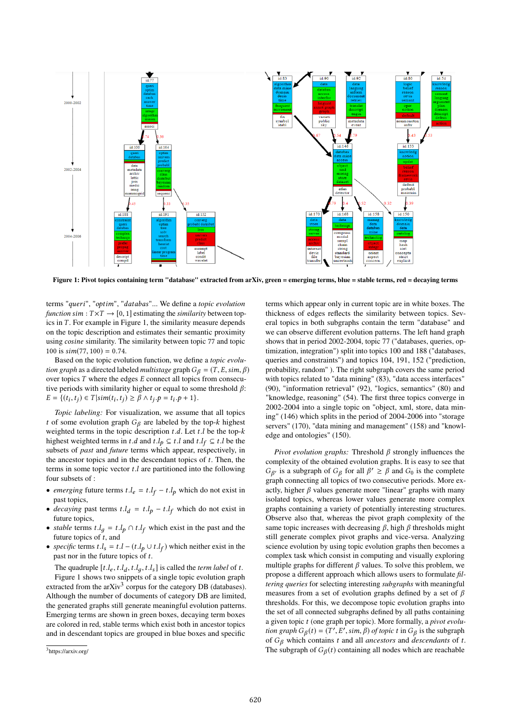

Figure 1: Pivot topics containing term "database" extracted from arXiv, green = emerging terms, blue = stable terms, red = decaying terms

terms "queri", "optim", "databas"... We define a *topic evolution function* sim :  $T \times T \rightarrow [0, 1]$  estimating the *similarity* between topics in  $T$ . For example in Figure 1, the similarity measure depends on the topic description and estimates their semantic proximity using cosine similarity. The similarity between topic <sup>77</sup> and topic 100 is  $sim(77, 100) = 0.74$ .

Based on the topic evolution function, we define a *topic evolution graph* as a directed labeled *multistage* graph  $G_\beta = (T, E, \text{sim}, \beta)$ over topics T where the edges E connect all topics from consecutive periods with similarity higher or equal to some threshold  $\beta$ :  $E = \{(t_i, t_j) \in T | sim(t_i, t_j) \ge \beta \land t_j \cdot p = t_i \cdot p + 1\}.$ 

*Topic labeling:* For visualization, we assume that all topics t of some evolution graph  $G_\beta$  are labeled by the top-k highest weighted terms in the topic description  $t.d.$  Let  $t.l$  be the top- $k$ highest weighted terms in t.d and t.l<sub>p</sub>  $\subseteq$  t.l and t.l<sub>f</sub>  $\subseteq$  t.l be the subsets of *nost* and *future* terms which appear respectively in subsets of *past* and *future* terms which appear, respectively, in the ancestor topics and in the descendant topics of  $t$ . Then, the terms in some topic vector  $t.l$  are partitioned into the following four subsets of :

- *emerging* future terms  $t \cdot l_e = t \cdot l_f t \cdot l_p$  which do not exist in next tonics past topics,
- *decaying* past terms  $t.l_d = t.l_p t.l_f$  which do not exist in future tonics future topics,
- *stable* terms  $t.l_g = t.l_p \cap t.l_f$  which exist in the past and the future tonics of  $t$  and future topics of  $t$ , and
- *specific* terms  $t.l_s = t.l (t.l_p \cup t.l_f)$  which neither exist in the next nor in the future tonics of  $t$ past nor in the future topics of t.

The quadruple  $[t, l_e, t, l_d, t, l_g, t, l_s]$  is called the *term label* of t.<br>Figure 1 shows two snippets of a single topic evolution graph

Figure 1 shows two snippets of a single topic evolution graph extracted from the arXiv<sup>3</sup> corpus for the category DB (databases). Although the number of documents of category DB are limited, the generated graphs still generate meaningful evolution patterns. Emerging terms are shown in green boxes, decaying term boxes are colored in red, stable terms which exist both in ancestor topics and in descendant topics are grouped in blue boxes and specific

terms which appear only in current topic are in white boxes. The thickness of edges reflects the similarity between topics. Several topics in both subgraphs contain the term "database" and we can observe different evolution patterns. The left hand graph shows that in period 2002-2004, topic 77 ("databases, queries, optimization, integration") split into topics 100 and 188 ("databases, queries and constraints") and topics 104, 191, 152 ("prediction, probability, random" ). The right subgraph covers the same period with topics related to "data mining" (83), "data access interfaces" (90), "information retrieval" (92), "logics, semantics" (80) and "knowledge, reasoning" (54). The first three topics converge in 2002-2004 into a single topic on "object, xml, store, data mining" (146) which splits in the period of 2004-2006 into "storage servers" (170), "data mining and management" (158) and "knowledge and ontologies" (150).

*Pivot evolution graphs:* Threshold β strongly influences the complexity of the obtained evolution graphs. It is easy to see that graph connecting all topics of two consecutive periods. More exis a subgraph of  $G_\beta$  for all  $\beta' \ge \beta$  and  $G_0$  is the complete in connecting all tonics of two consecutive periods. More exactly, higher  $\beta$  values generate more "linear" graphs with many isolated topics, whereas lower values generate more complex graphs containing a variety of potentially interesting structures. Observe also that, whereas the pivot graph complexity of the same topic increases with decreasing  $\beta$ , high  $\beta$  thresholds might still generate complex pivot graphs and vice-versa. Analyzing science evolution by using topic evolution graphs then becomes a complex task which consist in computing and visually exploring multiple graphs for different  $\beta$  values. To solve this problem, we propose a different approach which allows users to formulate *filtering queries* for selecting interesting *subgraphs* with meaningful measures from a set of evolution graphs defined by a set of  $\beta$ thresholds. For this, we decompose topic evolution graphs into the set of all connected subgraphs defined by all paths containing a given topic t (one graph per topic). More formally, a *pivot evolution graph*  $G_{\beta}(t) = (T', E', \sin, \beta)$  *of topic* t in  $G_{\beta}$  is the subgraph of  $G_{\beta}$  which contains t and all ancestors and descendants of t of  $G_\beta$  which contains t and all *ancestors* and *descendants* of t.<br>The subgraph of  $G_\alpha(t)$  containing all podes which are reachable The subgraph of  $G_{\beta}(t)$  containing all nodes which are reachable

<sup>&</sup>lt;sup>3</sup>https://arxiv.org/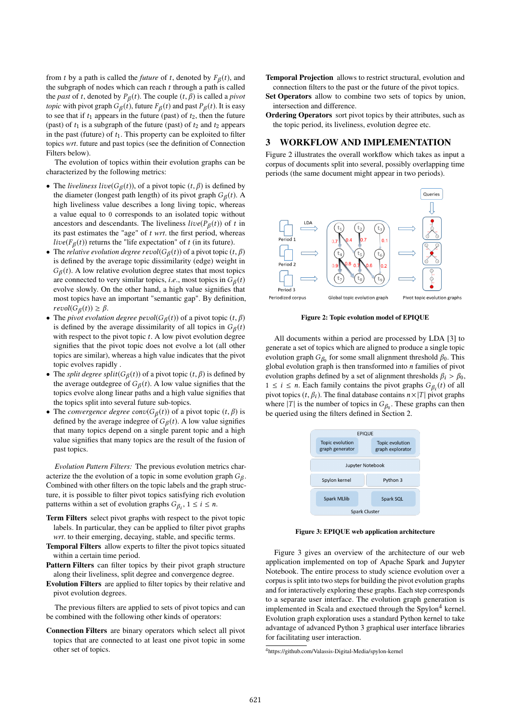from t by a path is called the *future* of t, denoted by  $F_\beta(t)$ , and the subgraph of podes which can reach t through a path is called the subgraph of nodes which can reach  $t$  through a path is called the *past* of t, denoted by  $P_{\beta}(t)$ . The couple  $(t, \beta)$  is called a *pivot* tonic with pivot graph  $G_{\beta}(t)$ , future  $F_{\beta}(t)$  and past  $P_{\beta}(t)$ . It is easy *topic* with pivot graph  $G_{\beta}(t)$ , future  $F_{\beta}(t)$  and past  $P_{\beta}(t)$ . It is easy to see that if to appears in the future (past) of to then the future to see that if  $t_1$  appears in the future (past) of  $t_2$ , then the future (past) of  $t_1$  is a subgraph of the future (past) of  $t_2$  and  $t_2$  appears in the past (future) of  $t_1$ . This property can be exploited to filter topics *wrt*. future and past topics (see the definition of Connection Filters below).

The evolution of topics within their evolution graphs can be characterized by the following metrics:

- The *liveliness live*( $G_\beta(t)$ ), of a pivot topic ( $t, \beta$ ) is defined by<br>the diameter (longest path length) of its pivot graph  $G_\beta(t)$ . the diameter (longest path length) of its pivot graph  $G_{\beta}(t)$ . A high liveliness value describes a long living tonic, whereas high liveliness value describes a long living topic, whereas a value equal to 0 corresponds to an isolated topic without ancestors and descendants. The liveliness  $live(P_\beta(t))$  of t in<br>its past estimates the "age" of t wrt the first period, whereas its past estimates the "age" of t *wrt*. the first period, whereas live( $F_\beta(t)$ ) returns the "life expectation" of t (in its future).<br>The relative evolution degree revol( $G_\beta(t)$ ) of a nivot tonic (t
- The *relative evolution degree revol*( $G_\beta(t)$ ) of a pivot topic (t,  $\beta$ ) is defined by the average topic dissimilarity (edge) weight in is defined by the average topic dissimilarity (edge) weight in are connected to very similar topics, *i.e.*, most topics in  $G_\beta(t)$ <br>evolve slowly. On the other hand, a high value signifies that  $G_{\beta}(t)$ . A low relative evolution degree states that most topics evolve slowly. On the other hand, a high value signifies that most topics have an important "semantic gap". By definition,  $revol(G_{\beta}(t)) \geq \beta.$ <br>The nivot evolution
- The *pivot evolution degree pevol*( $G_\beta(t)$ ) of a pivot topic (t,  $\beta$ ) is defined by the average dissimilarity of all topics in  $G_\beta(t)$ is defined by the average dissimilarity of all topics in  $G_{\beta}(t)$ <br>with respect to the pivot topic t. A low pivot evolution degree with respect to the pivot topic  $t$ . A low pivot evolution degree signifies that the pivot topic does not evolve a lot (all other topics are similar), whereas a high value indicates that the pivot topic evolves rapidly .
- The *split degree split*( $G_{\beta}(t)$ ) of a pivot topic  $(t, \beta)$  is defined by<br>the average outdegree of  $G_{\beta}(t)$ . A low value signifies that the the average outdegree of  $G_{\beta}(t)$ . A low value signifies that the tonics evolve along linear paths and a high value signifies that topics evolve along linear paths and a high value signifies that the topics split into several future sub-topics.
- The *convergence degree* conv $(G_\beta(t))$  of a pivot topic  $(t, \beta)$  is defined by the average indegree of  $G_\beta(t)$ . A low value signifies defined by the average indegree of  $G_{\beta}(t)$ . A low value signifies that many tonics depend on a single parent tonic and a high that many topics depend on a single parent topic and a high value signifies that many topics are the result of the fusion of past topics.

*Evolution Pattern Filters:* The previous evolution metrics characterize the the evolution of a topic in some evolution graph  $G_{\beta}$ .<br>Combined with other filters on the topic labels and the graph struc-Combined with other filters on the topic labels and the graph structure, it is possible to filter pivot topics satisfying rich evolution patterns within a set of evolution graphs  $G_{\beta_i}$ ,  $1 \le i \le n$ .

- Term Filters select pivot graphs with respect to the pivot topic labels. In particular, they can be applied to filter pivot graphs *wrt*. to their emerging, decaying, stable, and specific terms.
- Temporal Filters allow experts to filter the pivot topics situated within a certain time period.
- Pattern Filters can filter topics by their pivot graph structure along their liveliness, split degree and convergence degree.
- Evolution Filters are applied to filter topics by their relative and pivot evolution degrees.

The previous filters are applied to sets of pivot topics and can be combined with the following other kinds of operators:

Connection Filters are binary operators which select all pivot topics that are connected to at least one pivot topic in some other set of topics.

- Temporal Projection allows to restrict structural, evolution and connection filters to the past or the future of the pivot topics.
- Set Operators allow to combine two sets of topics by union, intersection and difference.
- Ordering Operators sort pivot topics by their attributes, such as the topic period, its liveliness, evolution degree etc.

#### 3 WORKFLOW AND IMPLEMENTATION

Figure 2 illustrates the overall workflow which takes as input a corpus of documents split into several, possibly overlapping time periods (the same document might appear in two periods).



Figure 2: Topic evolution model of EPIQUE

All documents within a period are processed by LDA [3] to generate a set of topics which are aligned to produce a single topic evolution graph  $G_{\beta_0}$  for some small alignment threshold  $\beta_0$ . This global evolution graph is then transformed into *n* families of nivot global evolution graph is then transformed into  $n$  families of pivot evolution graphs defined by a set of alignment thresholds  $\beta_i > \beta_0$ ,  $1 \le i \le n$ . Each family contains the pivot graphs  $G_{\beta_i}(t)$  of all pivot topics  $(t, \beta_i)$ . The final database contains  $n \times |T|$  pivot graphs pivot topics  $(t, \beta_i)$ . The final database contains  $n \times |T|$  pivot graphs where |T| is the number of topics in  $G_{\beta_0}$ . These graphs can then<br>be queried using the filters defined in Section 2 be queried using the filters defined in Section 2.



Figure 3: EPIQUE web application architecture

Figure 3 gives an overview of the architecture of our web application implemented on top of Apache Spark and Jupyter Notebook. The entire process to study science evolution over a corpus is split into two steps for building the pivot evolution graphs and for interactively exploring these graphs. Each step corresponds to a separate user interface. The evolution graph generation is implemented in Scala and exectued through the Spylon<sup>4</sup> kernel. Evolution graph exploration uses a standard Python kernel to take advantage of advanced Python 3 graphical user interface libraries for facilitating user interaction.

<sup>4</sup> https://github.com/Valassis-Digital-Media/spylon-kernel